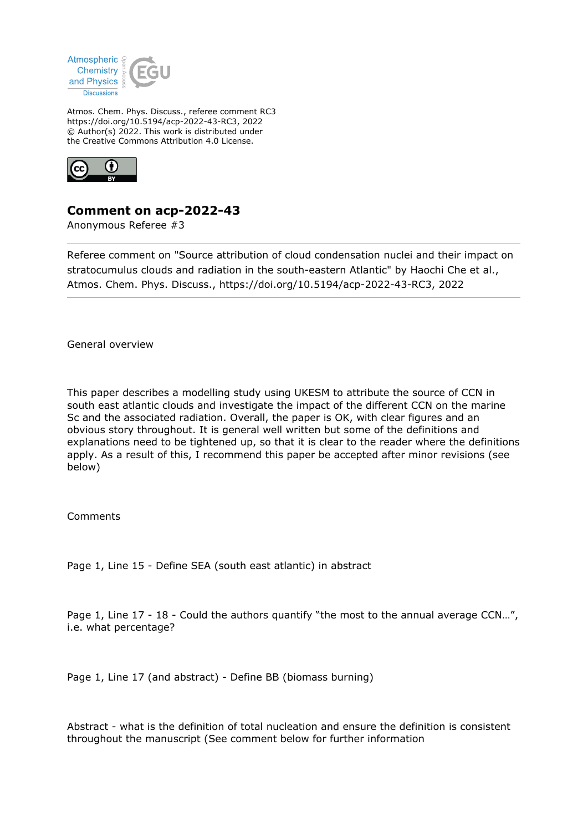

Atmos. Chem. Phys. Discuss., referee comment RC3 https://doi.org/10.5194/acp-2022-43-RC3, 2022 © Author(s) 2022. This work is distributed under the Creative Commons Attribution 4.0 License.



## **Comment on acp-2022-43**

Anonymous Referee #3

Referee comment on "Source attribution of cloud condensation nuclei and their impact on stratocumulus clouds and radiation in the south-eastern Atlantic" by Haochi Che et al., Atmos. Chem. Phys. Discuss., https://doi.org/10.5194/acp-2022-43-RC3, 2022

General overview

This paper describes a modelling study using UKESM to attribute the source of CCN in south east atlantic clouds and investigate the impact of the different CCN on the marine Sc and the associated radiation. Overall, the paper is OK, with clear figures and an obvious story throughout. It is general well written but some of the definitions and explanations need to be tightened up, so that it is clear to the reader where the definitions apply. As a result of this, I recommend this paper be accepted after minor revisions (see below)

Comments

Page 1, Line 15 - Define SEA (south east atlantic) in abstract

Page 1, Line 17 - 18 - Could the authors quantify "the most to the annual average CCN...", i.e. what percentage?

Page 1, Line 17 (and abstract) - Define BB (biomass burning)

Abstract - what is the definition of total nucleation and ensure the definition is consistent throughout the manuscript (See comment below for further information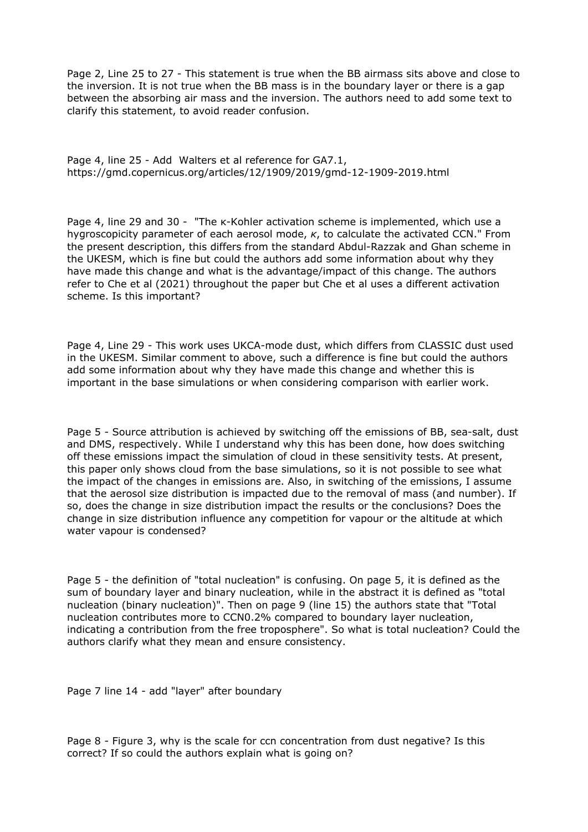Page 2, Line 25 to 27 - This statement is true when the BB airmass sits above and close to the inversion. It is not true when the BB mass is in the boundary layer or there is a gap between the absorbing air mass and the inversion. The authors need to add some text to clarify this statement, to avoid reader confusion.

Page 4, line 25 - Add Walters et al reference for GA7.1, https://gmd.copernicus.org/articles/12/1909/2019/gmd-12-1909-2019.html

Page 4, line 29 and 30 - "The κ-Kohler activation scheme is implemented, which use a hygroscopicity parameter of each aerosol mode, *κ*, to calculate the activated CCN." From the present description, this differs from the standard Abdul-Razzak and Ghan scheme in the UKESM, which is fine but could the authors add some information about why they have made this change and what is the advantage/impact of this change. The authors refer to Che et al (2021) throughout the paper but Che et al uses a different activation scheme. Is this important?

Page 4, Line 29 - This work uses UKCA-mode dust, which differs from CLASSIC dust used in the UKESM. Similar comment to above, such a difference is fine but could the authors add some information about why they have made this change and whether this is important in the base simulations or when considering comparison with earlier work.

Page 5 - Source attribution is achieved by switching off the emissions of BB, sea-salt, dust and DMS, respectively. While I understand why this has been done, how does switching off these emissions impact the simulation of cloud in these sensitivity tests. At present, this paper only shows cloud from the base simulations, so it is not possible to see what the impact of the changes in emissions are. Also, in switching of the emissions, I assume that the aerosol size distribution is impacted due to the removal of mass (and number). If so, does the change in size distribution impact the results or the conclusions? Does the change in size distribution influence any competition for vapour or the altitude at which water vapour is condensed?

Page 5 - the definition of "total nucleation" is confusing. On page 5, it is defined as the sum of boundary layer and binary nucleation, while in the abstract it is defined as "total nucleation (binary nucleation)". Then on page 9 (line 15) the authors state that "Total nucleation contributes more to CCN0.2% compared to boundary layer nucleation, indicating a contribution from the free troposphere". So what is total nucleation? Could the authors clarify what they mean and ensure consistency.

Page 7 line 14 - add "layer" after boundary

Page 8 - Figure 3, why is the scale for ccn concentration from dust negative? Is this correct? If so could the authors explain what is going on?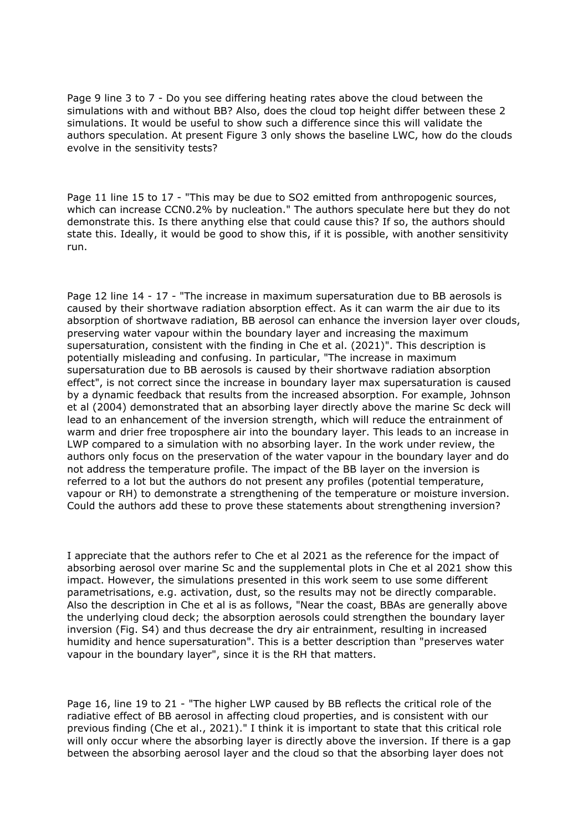Page 9 line 3 to 7 - Do you see differing heating rates above the cloud between the simulations with and without BB? Also, does the cloud top height differ between these 2 simulations. It would be useful to show such a difference since this will validate the authors speculation. At present Figure 3 only shows the baseline LWC, how do the clouds evolve in the sensitivity tests?

Page 11 line 15 to 17 - "This may be due to SO2 emitted from anthropogenic sources, which can increase CCN0.2% by nucleation." The authors speculate here but they do not demonstrate this. Is there anything else that could cause this? If so, the authors should state this. Ideally, it would be good to show this, if it is possible, with another sensitivity run.

Page 12 line 14 - 17 - "The increase in maximum supersaturation due to BB aerosols is caused by their shortwave radiation absorption effect. As it can warm the air due to its absorption of shortwave radiation, BB aerosol can enhance the inversion layer over clouds, preserving water vapour within the boundary layer and increasing the maximum supersaturation, consistent with the finding in Che et al. (2021)". This description is potentially misleading and confusing. In particular, "The increase in maximum supersaturation due to BB aerosols is caused by their shortwave radiation absorption effect", is not correct since the increase in boundary layer max supersaturation is caused by a dynamic feedback that results from the increased absorption. For example, Johnson et al (2004) demonstrated that an absorbing layer directly above the marine Sc deck will lead to an enhancement of the inversion strength, which will reduce the entrainment of warm and drier free troposphere air into the boundary layer. This leads to an increase in LWP compared to a simulation with no absorbing layer. In the work under review, the authors only focus on the preservation of the water vapour in the boundary layer and do not address the temperature profile. The impact of the BB layer on the inversion is referred to a lot but the authors do not present any profiles (potential temperature, vapour or RH) to demonstrate a strengthening of the temperature or moisture inversion. Could the authors add these to prove these statements about strengthening inversion?

I appreciate that the authors refer to Che et al 2021 as the reference for the impact of absorbing aerosol over marine Sc and the supplemental plots in Che et al 2021 show this impact. However, the simulations presented in this work seem to use some different parametrisations, e.g. activation, dust, so the results may not be directly comparable. Also the description in Che et al is as follows, "Near the coast, BBAs are generally above the underlying cloud deck; the absorption aerosols could strengthen the boundary layer inversion (Fig. S4) and thus decrease the dry air entrainment, resulting in increased humidity and hence supersaturation". This is a better description than "preserves water vapour in the boundary layer", since it is the RH that matters.

Page 16, line 19 to 21 - "The higher LWP caused by BB reflects the critical role of the radiative effect of BB aerosol in affecting cloud properties, and is consistent with our previous finding (Che et al., 2021)." I think it is important to state that this critical role will only occur where the absorbing layer is directly above the inversion. If there is a gap between the absorbing aerosol layer and the cloud so that the absorbing layer does not